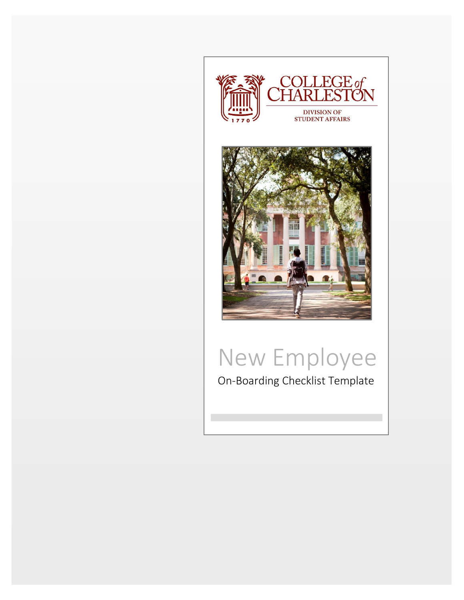

## New Employee

On-Boarding Checklist Template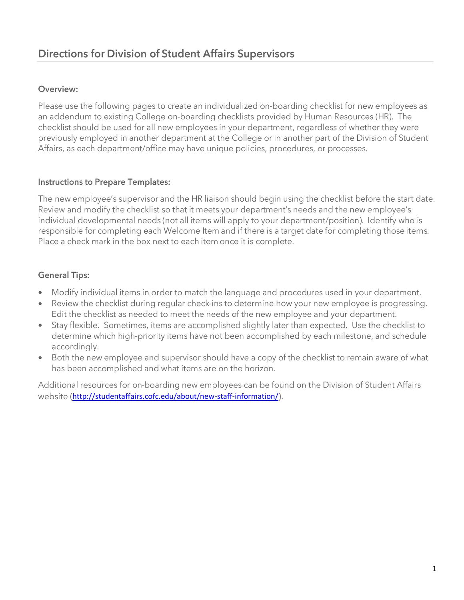## Overview:

Please use the following pages to create an individualized on-boarding checklist for new employees as an addendum to existing College on-boarding checklists provided by Human Resources (HR). The checklist should be used for all new employees in your department, regardless of whether they were previously employed in another department at the College or in another part of the Division of Student Affairs, as each department/office may have unique policies, procedures, or processes.

## **Instructions to Prepare Templates:**

The new employee's supervisor and the HR liaison should begin using the checklist before the start date. Review and modify the checklist so that it meets your department's needs and the new employee's individual developmental needs (not all items will apply to your department/position). Identify who is responsible for completing each Welcome Item and if there is a target date for completing those items. Place a check mark in the box next to each item once it is complete.

## **General Tips:**

- Modify individual items in order to match the language and procedures used in your department.  $\bullet$
- Review the checklist during regular check-ins to determine how your new employee is progressing. Edit the checklist as needed to meet the needs of the new employee and your department.
- Stay flexible. Sometimes, items are accomplished slightly later than expected. Use the checklist to • determine which high-priority items have not been accomplished by each milestone, and schedule accordingly.
- Both the new employee and supervisor should have a copy of the checklist to remain aware of what  $\bullet$ has been accomplished and what items are on the horizon.

Additional resources for on-boarding new employees can be found on the Division of Student Affairs website (<http://studentaffairs.cofc.edu/about/new-staff-information/>).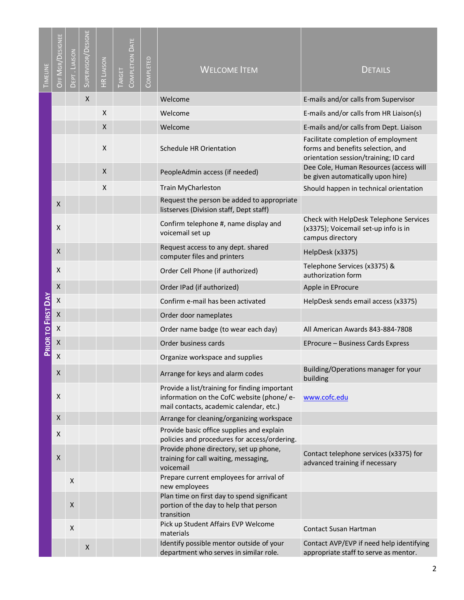| TIMELINE           | OFF MGR/DESIGNEE | DEPT. LIAISON  | SUPERVISOR/DESIGNE | <b>HR LIAISON</b> | <b>COMPLETION DATE</b><br>TARGET | COMPLETED | <b>WELCOME ITEM</b>                                                                                                                   | <b>DETAILS</b>                                                                                                    |
|--------------------|------------------|----------------|--------------------|-------------------|----------------------------------|-----------|---------------------------------------------------------------------------------------------------------------------------------------|-------------------------------------------------------------------------------------------------------------------|
|                    |                  |                | X                  |                   |                                  |           | Welcome                                                                                                                               | E-mails and/or calls from Supervisor                                                                              |
|                    |                  |                |                    | X                 |                                  |           | Welcome                                                                                                                               | E-mails and/or calls from HR Liaison(s)                                                                           |
|                    |                  |                |                    | X                 |                                  |           | Welcome                                                                                                                               | E-mails and/or calls from Dept. Liaison                                                                           |
|                    |                  |                |                    | X                 |                                  |           | <b>Schedule HR Orientation</b>                                                                                                        | Facilitate completion of employment<br>forms and benefits selection, and<br>orientation session/training; ID card |
|                    |                  |                |                    | X                 |                                  |           | PeopleAdmin access (if needed)                                                                                                        | Dee Cole, Human Resources (access will<br>be given automatically upon hire)                                       |
|                    |                  |                |                    | X                 |                                  |           | <b>Train MyCharleston</b>                                                                                                             | Should happen in technical orientation                                                                            |
|                    | X                |                |                    |                   |                                  |           | Request the person be added to appropriate<br>listserves (Division staff, Dept staff)                                                 |                                                                                                                   |
|                    | $\mathsf{X}$     |                |                    |                   |                                  |           | Confirm telephone #, name display and<br>voicemail set up                                                                             | Check with HelpDesk Telephone Services<br>(x3375); Voicemail set-up info is in<br>campus directory                |
|                    | $\mathsf{X}$     |                |                    |                   |                                  |           | Request access to any dept. shared<br>computer files and printers                                                                     | HelpDesk (x3375)                                                                                                  |
|                    | X                |                |                    |                   |                                  |           | Order Cell Phone (if authorized)                                                                                                      | Telephone Services (x3375) &<br>authorization form                                                                |
|                    | X                |                |                    |                   |                                  |           | Order IPad (if authorized)                                                                                                            | Apple in EProcure                                                                                                 |
|                    | $\mathsf X$      |                |                    |                   |                                  |           | Confirm e-mail has been activated                                                                                                     | HelpDesk sends email access (x3375)                                                                               |
|                    | $\mathsf X$      |                |                    |                   |                                  |           | Order door nameplates                                                                                                                 |                                                                                                                   |
| PRIOR TO FIRST DAY | $\mathsf X$      |                |                    |                   |                                  |           | Order name badge (to wear each day)                                                                                                   | All American Awards 843-884-7808                                                                                  |
|                    | $\mathsf X$      |                |                    |                   |                                  |           | Order business cards                                                                                                                  | EProcure - Business Cards Express                                                                                 |
|                    | X                |                |                    |                   |                                  |           | Organize workspace and supplies                                                                                                       |                                                                                                                   |
|                    | X                |                |                    |                   |                                  |           | Arrange for keys and alarm codes                                                                                                      | Building/Operations manager for your<br>building                                                                  |
|                    | X                |                |                    |                   |                                  |           | Provide a list/training for finding important<br>information on the CofC website (phone/e-<br>mail contacts, academic calendar, etc.) | www.cofc.edu                                                                                                      |
|                    | X                |                |                    |                   |                                  |           | Arrange for cleaning/organizing workspace                                                                                             |                                                                                                                   |
|                    | X                |                |                    |                   |                                  |           | Provide basic office supplies and explain<br>policies and procedures for access/ordering.                                             |                                                                                                                   |
|                    | $\boldsymbol{X}$ |                |                    |                   |                                  |           | Provide phone directory, set up phone,<br>training for call waiting, messaging,<br>voicemail                                          | Contact telephone services (x3375) for<br>advanced training if necessary                                          |
|                    |                  | X              |                    |                   |                                  |           | Prepare current employees for arrival of<br>new employees                                                                             |                                                                                                                   |
|                    |                  | X              |                    |                   |                                  |           | Plan time on first day to spend significant<br>portion of the day to help that person<br>transition                                   |                                                                                                                   |
|                    |                  | $\pmb{\times}$ |                    |                   |                                  |           | Pick up Student Affairs EVP Welcome<br>materials                                                                                      | Contact Susan Hartman                                                                                             |
|                    |                  |                | X                  |                   |                                  |           | Identify possible mentor outside of your<br>department who serves in similar role.                                                    | Contact AVP/EVP if need help identifying<br>appropriate staff to serve as mentor.                                 |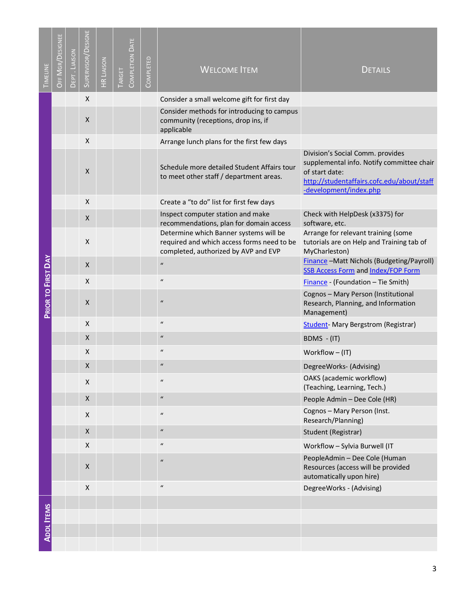| TIMELINE           | OFF MGR/DESIGNEE | DEPT. LIAISON | SUPERVISOR/DESIGNE | <b>HR LIAISON</b> | <b>COMPLETION DATE</b><br>TARGET | COMPLETED | <b>WELCOME ITEM</b>                                                                                                          | <b>DETAILS</b>                                                                                                                                                          |
|--------------------|------------------|---------------|--------------------|-------------------|----------------------------------|-----------|------------------------------------------------------------------------------------------------------------------------------|-------------------------------------------------------------------------------------------------------------------------------------------------------------------------|
|                    |                  |               | X                  |                   |                                  |           | Consider a small welcome gift for first day                                                                                  |                                                                                                                                                                         |
|                    |                  |               | X                  |                   |                                  |           | Consider methods for introducing to campus<br>community (receptions, drop ins, if<br>applicable                              |                                                                                                                                                                         |
|                    |                  |               | X                  |                   |                                  |           | Arrange lunch plans for the first few days                                                                                   |                                                                                                                                                                         |
|                    |                  |               | X                  |                   |                                  |           | Schedule more detailed Student Affairs tour<br>to meet other staff / department areas.                                       | Division's Social Comm. provides<br>supplemental info. Notify committee chair<br>of start date:<br>http://studentaffairs.cofc.edu/about/staff<br>-development/index.php |
|                    |                  |               | X                  |                   |                                  |           | Create a "to do" list for first few days                                                                                     |                                                                                                                                                                         |
|                    |                  |               | X                  |                   |                                  |           | Inspect computer station and make<br>recommendations, plan for domain access                                                 | Check with HelpDesk (x3375) for<br>software, etc.                                                                                                                       |
|                    |                  |               | X                  |                   |                                  |           | Determine which Banner systems will be<br>required and which access forms need to be<br>completed, authorized by AVP and EVP | Arrange for relevant training (some<br>tutorials are on Help and Training tab of<br>MyCharleston)                                                                       |
|                    |                  |               | X                  |                   |                                  |           | $\boldsymbol{u}$                                                                                                             | Finance - Matt Nichols (Budgeting/Payroll)<br><b>SSB Access Form and Index/FOP Form</b>                                                                                 |
|                    |                  |               | X                  |                   |                                  |           | $\mathbf{u}$                                                                                                                 | Finance - (Foundation - Tie Smith)                                                                                                                                      |
| PRIOR TO FIRST DAY |                  |               | X                  |                   |                                  |           | $\boldsymbol{u}$                                                                                                             | Cognos - Mary Person (Institutional<br>Research, Planning, and Information<br>Management)                                                                               |
|                    |                  |               | X                  |                   |                                  |           | $\mathbf{u}$                                                                                                                 | Student-Mary Bergstrom (Registrar)                                                                                                                                      |
|                    |                  |               | X                  |                   |                                  |           | $\boldsymbol{u}$                                                                                                             | BDMS - (IT)                                                                                                                                                             |
|                    |                  |               | X                  |                   |                                  |           | $\boldsymbol{\mathcal{U}}$                                                                                                   | Workflow $-$ (IT)                                                                                                                                                       |
|                    |                  |               | X                  |                   |                                  |           | $\mathbf{u}$                                                                                                                 | DegreeWorks- (Advising)                                                                                                                                                 |
|                    |                  |               | Χ                  |                   |                                  |           | $\boldsymbol{u}$                                                                                                             | OAKS (academic workflow)<br>(Teaching, Learning, Tech.)                                                                                                                 |
|                    |                  |               | X                  |                   |                                  |           | $\boldsymbol{\mathcal{U}}$                                                                                                   | People Admin - Dee Cole (HR)                                                                                                                                            |
|                    |                  |               | Χ                  |                   |                                  |           | $\boldsymbol{\mathcal{U}}$                                                                                                   | Cognos - Mary Person (Inst.<br>Research/Planning)                                                                                                                       |
|                    |                  |               | X                  |                   |                                  |           | $\boldsymbol{\mathcal{U}}$                                                                                                   | Student (Registrar)                                                                                                                                                     |
|                    |                  |               | X                  |                   |                                  |           | $\boldsymbol{\mathcal{U}}$                                                                                                   | Workflow - Sylvia Burwell (IT                                                                                                                                           |
|                    |                  |               | $\pmb{\mathsf{X}}$ |                   |                                  |           | $\boldsymbol{u}$                                                                                                             | PeopleAdmin - Dee Cole (Human<br>Resources (access will be provided<br>automatically upon hire)                                                                         |
|                    |                  |               | $\pmb{\mathsf{X}}$ |                   |                                  |           | $\mathbf{u}$                                                                                                                 | DegreeWorks - (Advising)                                                                                                                                                |
|                    |                  |               |                    |                   |                                  |           |                                                                                                                              |                                                                                                                                                                         |
|                    |                  |               |                    |                   |                                  |           |                                                                                                                              |                                                                                                                                                                         |
| <b>ADDL ITEMS</b>  |                  |               |                    |                   |                                  |           |                                                                                                                              |                                                                                                                                                                         |
|                    |                  |               |                    |                   |                                  |           |                                                                                                                              |                                                                                                                                                                         |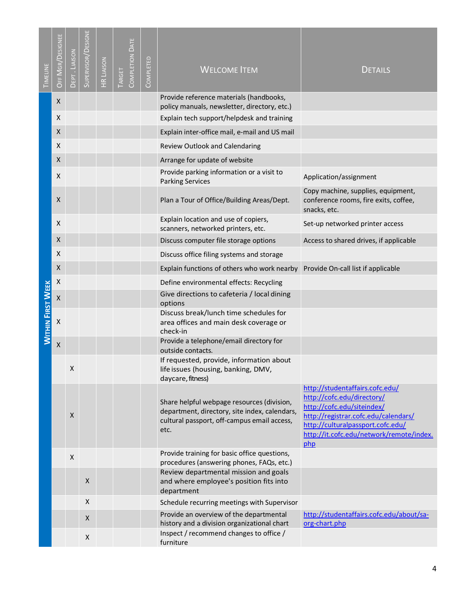| Provide reference materials (handbooks,<br>X<br>policy manuals, newsletter, directory, etc.)                                                             |                                                                                                                                                                                                                             |
|----------------------------------------------------------------------------------------------------------------------------------------------------------|-----------------------------------------------------------------------------------------------------------------------------------------------------------------------------------------------------------------------------|
| X<br>Explain tech support/helpdesk and training                                                                                                          |                                                                                                                                                                                                                             |
| X<br>Explain inter-office mail, e-mail and US mail                                                                                                       |                                                                                                                                                                                                                             |
| X<br>Review Outlook and Calendaring                                                                                                                      |                                                                                                                                                                                                                             |
| $\pmb{\mathsf{X}}$<br>Arrange for update of website                                                                                                      |                                                                                                                                                                                                                             |
| Provide parking information or a visit to<br>X<br><b>Parking Services</b>                                                                                | Application/assignment                                                                                                                                                                                                      |
| X<br>Plan a Tour of Office/Building Areas/Dept.                                                                                                          | Copy machine, supplies, equipment,<br>conference rooms, fire exits, coffee,<br>snacks, etc.                                                                                                                                 |
| Explain location and use of copiers,<br>X<br>scanners, networked printers, etc.                                                                          | Set-up networked printer access                                                                                                                                                                                             |
| X<br>Discuss computer file storage options                                                                                                               | Access to shared drives, if applicable                                                                                                                                                                                      |
| X<br>Discuss office filing systems and storage                                                                                                           |                                                                                                                                                                                                                             |
| X<br>Explain functions of others who work nearby Provide On-call list if applicable                                                                      |                                                                                                                                                                                                                             |
| X<br>Define environmental effects: Recycling                                                                                                             |                                                                                                                                                                                                                             |
| Give directions to cafeteria / local dining<br>$\pmb{\mathsf{X}}$<br>options                                                                             |                                                                                                                                                                                                                             |
| <b>WITHIN FIRST WEEK</b><br>Discuss break/lunch time schedules for<br>$\mathsf{x}$<br>area offices and main desk coverage or<br>check-in                 |                                                                                                                                                                                                                             |
| Provide a telephone/email directory for<br>$\mathsf X$<br>outside contacts.                                                                              |                                                                                                                                                                                                                             |
| If requested, provide, information about<br>Χ<br>life issues (housing, banking, DMV,<br>daycare, fitness)                                                |                                                                                                                                                                                                                             |
| Share helpful webpage resources (division,<br>department, directory, site index, calendars,<br>X<br>cultural passport, off-campus email access,<br>etc.  | http://studentaffairs.cofc.edu/<br>http://cofc.edu/directory/<br>http://cofc.edu/siteindex/<br>http://registrar.cofc.edu/calendars/<br>http://culturalpassport.cofc.edu/<br>http://it.cofc.edu/network/remote/index.<br>php |
| Provide training for basic office questions,<br>$\mathsf X$<br>procedures (answering phones, FAQs, etc.)                                                 |                                                                                                                                                                                                                             |
| Review departmental mission and goals<br>X<br>and where employee's position fits into<br>department                                                      |                                                                                                                                                                                                                             |
| X<br>Schedule recurring meetings with Supervisor                                                                                                         |                                                                                                                                                                                                                             |
| Provide an overview of the departmental<br>X<br>history and a division organizational chart<br>Inspect / recommend changes to office /<br>X<br>furniture | http://studentaffairs.cofc.edu/about/sa-<br>org-chart.php                                                                                                                                                                   |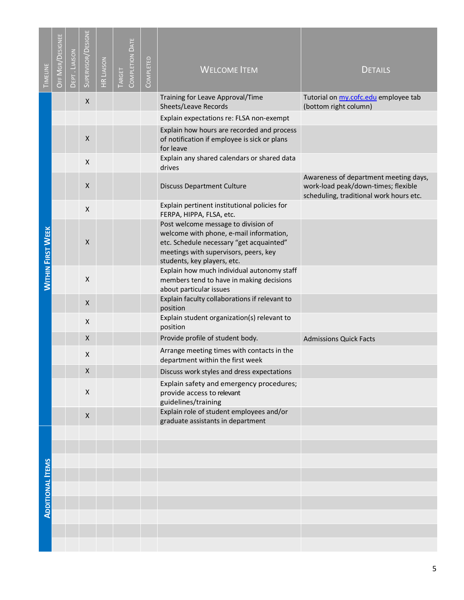| TIMELINE                 | OFF MGR/DESIGNEE | DEPT. LIAISON | SUPERVISOR/DESIGNE | <b>HR LIAISON</b> | <b>COMPLETION DATE</b><br>TARGET | COMPLETED | <b>WELCOME ITEM</b>                                                                                                                                                                                | <b>DETAILS</b>                                                                                                          |
|--------------------------|------------------|---------------|--------------------|-------------------|----------------------------------|-----------|----------------------------------------------------------------------------------------------------------------------------------------------------------------------------------------------------|-------------------------------------------------------------------------------------------------------------------------|
|                          |                  |               | X                  |                   |                                  |           | Training for Leave Approval/Time<br>Sheets/Leave Records                                                                                                                                           | Tutorial on my.cofc.edu employee tab<br>(bottom right column)                                                           |
|                          |                  |               |                    |                   |                                  |           | Explain expectations re: FLSA non-exempt                                                                                                                                                           |                                                                                                                         |
|                          |                  |               | X                  |                   |                                  |           | Explain how hours are recorded and process<br>of notification if employee is sick or plans<br>for leave                                                                                            |                                                                                                                         |
|                          |                  |               | $\pmb{\mathsf{X}}$ |                   |                                  |           | Explain any shared calendars or shared data<br>drives                                                                                                                                              |                                                                                                                         |
|                          |                  |               | X                  |                   |                                  |           | <b>Discuss Department Culture</b>                                                                                                                                                                  | Awareness of department meeting days,<br>work-load peak/down-times; flexible<br>scheduling, traditional work hours etc. |
|                          |                  |               | X                  |                   |                                  |           | Explain pertinent institutional policies for<br>FERPA, HIPPA, FLSA, etc.                                                                                                                           |                                                                                                                         |
| <b>WITHIN FIRST WEEK</b> |                  |               | X                  |                   |                                  |           | Post welcome message to division of<br>welcome with phone, e-mail information,<br>etc. Schedule necessary "get acquainted"<br>meetings with supervisors, peers, key<br>students, key players, etc. |                                                                                                                         |
|                          |                  |               | X                  |                   |                                  |           | Explain how much individual autonomy staff<br>members tend to have in making decisions<br>about particular issues                                                                                  |                                                                                                                         |
|                          |                  |               | X                  |                   |                                  |           | Explain faculty collaborations if relevant to<br>position                                                                                                                                          |                                                                                                                         |
|                          |                  |               | X                  |                   |                                  |           | Explain student organization(s) relevant to<br>position                                                                                                                                            |                                                                                                                         |
|                          |                  |               | X                  |                   |                                  |           | Provide profile of student body.                                                                                                                                                                   | <b>Admissions Quick Facts</b>                                                                                           |
|                          |                  |               | X                  |                   |                                  |           | Arrange meeting times with contacts in the<br>department within the first week                                                                                                                     |                                                                                                                         |
|                          |                  |               | X                  |                   |                                  |           | Discuss work styles and dress expectations                                                                                                                                                         |                                                                                                                         |
|                          |                  |               | $\pmb{\mathsf{X}}$ |                   |                                  |           | Explain safety and emergency procedures;<br>provide access to relevant<br>guidelines/training                                                                                                      |                                                                                                                         |
|                          |                  |               | X                  |                   |                                  |           | Explain role of student employees and/or<br>graduate assistants in department                                                                                                                      |                                                                                                                         |
|                          |                  |               |                    |                   |                                  |           |                                                                                                                                                                                                    |                                                                                                                         |
|                          |                  |               |                    |                   |                                  |           |                                                                                                                                                                                                    |                                                                                                                         |
|                          |                  |               |                    |                   |                                  |           |                                                                                                                                                                                                    |                                                                                                                         |
|                          |                  |               |                    |                   |                                  |           |                                                                                                                                                                                                    |                                                                                                                         |
| <b>ADDITIONAL ITEMS</b>  |                  |               |                    |                   |                                  |           |                                                                                                                                                                                                    |                                                                                                                         |
|                          |                  |               |                    |                   |                                  |           |                                                                                                                                                                                                    |                                                                                                                         |
|                          |                  |               |                    |                   |                                  |           |                                                                                                                                                                                                    |                                                                                                                         |
|                          |                  |               |                    |                   |                                  |           |                                                                                                                                                                                                    |                                                                                                                         |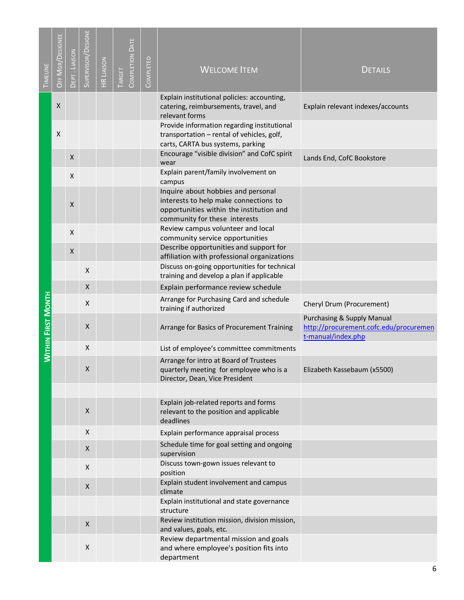| TIMELINE                  | OFF MGR/DESIGNEE   | DEPT. LIAISON      | SUPERVISOR/DESIGNE | <b>HR LIAISON</b> | <b>COMPLETION DATE</b><br>TARGET | COMPLETED | <b>WELCOME ITEM</b>                                                                                                                                      | <b>DETAILS</b>                                                                                        |
|---------------------------|--------------------|--------------------|--------------------|-------------------|----------------------------------|-----------|----------------------------------------------------------------------------------------------------------------------------------------------------------|-------------------------------------------------------------------------------------------------------|
|                           | $\pmb{\mathsf{X}}$ |                    |                    |                   |                                  |           | Explain institutional policies: accounting,<br>catering, reimbursements, travel, and                                                                     | Explain relevant indexes/accounts                                                                     |
|                           |                    |                    |                    |                   |                                  |           | relevant forms                                                                                                                                           |                                                                                                       |
|                           | X                  |                    |                    |                   |                                  |           | Provide information regarding institutional<br>transportation - rental of vehicles, golf,<br>carts, CARTA bus systems, parking                           |                                                                                                       |
|                           |                    | X                  |                    |                   |                                  |           | Encourage "visible division" and CofC spirit<br>wear                                                                                                     | Lands End, CofC Bookstore                                                                             |
|                           |                    | $\pmb{\mathsf{X}}$ |                    |                   |                                  |           | Explain parent/family involvement on<br>campus                                                                                                           |                                                                                                       |
|                           |                    | X                  |                    |                   |                                  |           | Inquire about hobbies and personal<br>interests to help make connections to<br>opportunities within the institution and<br>community for these interests |                                                                                                       |
|                           |                    | X                  |                    |                   |                                  |           | Review campus volunteer and local<br>community service opportunities                                                                                     |                                                                                                       |
|                           |                    | X                  |                    |                   |                                  |           | Describe opportunities and support for<br>affiliation with professional organizations                                                                    |                                                                                                       |
|                           |                    |                    | X                  |                   |                                  |           | Discuss on-going opportunities for technical<br>training and develop a plan if applicable                                                                |                                                                                                       |
|                           |                    |                    | X                  |                   |                                  |           | Explain performance review schedule                                                                                                                      |                                                                                                       |
|                           |                    |                    | X                  |                   |                                  |           | Arrange for Purchasing Card and schedule<br>training if authorized                                                                                       | Cheryl Drum (Procurement)                                                                             |
| <b>WITHIN FIRST MONTH</b> |                    |                    | X                  |                   |                                  |           | Arrange for Basics of Procurement Training                                                                                                               | <b>Purchasing &amp; Supply Manual</b><br>http://procurement.cofc.edu/procuremen<br>t-manual/index.php |
|                           |                    |                    | X                  |                   |                                  |           | List of employee's committee commitments                                                                                                                 |                                                                                                       |
|                           |                    |                    | Χ                  |                   |                                  |           | Arrange for intro at Board of Trustees<br>quarterly meeting for employee who is a<br>Director, Dean, Vice President                                      | Elizabeth Kassebaum (x5500)                                                                           |
|                           |                    |                    |                    |                   |                                  |           |                                                                                                                                                          |                                                                                                       |
|                           |                    |                    | X                  |                   |                                  |           | Explain job-related reports and forms<br>relevant to the position and applicable<br>deadlines                                                            |                                                                                                       |
|                           |                    |                    | X                  |                   |                                  |           | Explain performance appraisal process                                                                                                                    |                                                                                                       |
|                           |                    |                    | $\mathsf X$        |                   |                                  |           | Schedule time for goal setting and ongoing<br>supervision                                                                                                |                                                                                                       |
|                           |                    |                    | X                  |                   |                                  |           | Discuss town-gown issues relevant to<br>position                                                                                                         |                                                                                                       |
|                           |                    |                    | X                  |                   |                                  |           | Explain student involvement and campus<br>climate                                                                                                        |                                                                                                       |
|                           |                    |                    |                    |                   |                                  |           | Explain institutional and state governance<br>structure                                                                                                  |                                                                                                       |
|                           |                    |                    | X                  |                   |                                  |           | Review institution mission, division mission,<br>and values, goals, etc.                                                                                 |                                                                                                       |
|                           |                    |                    | X                  |                   |                                  |           | Review departmental mission and goals<br>and where employee's position fits into<br>department                                                           |                                                                                                       |